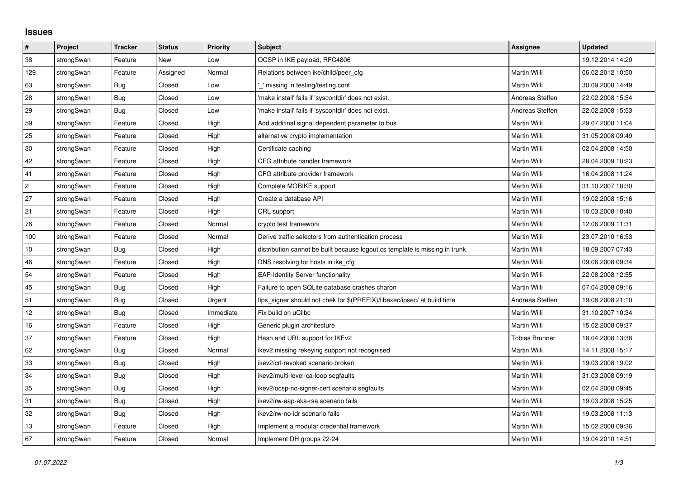## **Issues**

| #              | Project    | <b>Tracker</b> | <b>Status</b> | Priority  | <b>Subject</b>                                                              | <b>Assignee</b> | <b>Updated</b>   |
|----------------|------------|----------------|---------------|-----------|-----------------------------------------------------------------------------|-----------------|------------------|
| 38             | strongSwan | Feature        | New           | Low       | OCSP in IKE payload, RFC4806                                                |                 | 19.12.2014 14:20 |
| 129            | strongSwan | Feature        | Assigned      | Normal    | Relations between ike/child/peer cfg                                        | Martin Willi    | 06.02.2012 10:50 |
| 63             | strongSwan | Bug            | Closed        | Low       | missing in testing/testing.conf                                             | Martin Willi    | 30.09.2008 14:49 |
| 28             | strongSwan | Bug            | Closed        | Low       | 'make install' fails if 'sysconfdir' does not exist.                        | Andreas Steffen | 22.02.2008 15:54 |
| 29             | strongSwan | Bug            | Closed        | Low       | 'make install' fails if 'sysconfdir' does not exist.                        | Andreas Steffen | 22.02.2008 15:53 |
| 59             | strongSwan | Feature        | Closed        | High      | Add additinal signal dependent parameter to bus                             | Martin Willi    | 29.07.2008 11:04 |
| 25             | strongSwan | Feature        | Closed        | High      | alternative crypto implementation                                           | Martin Willi    | 31.05.2008 09:49 |
| $30\,$         | strongSwan | Feature        | Closed        | High      | Certificate caching                                                         | Martin Willi    | 02.04.2008 14:50 |
| 42             | strongSwan | Feature        | Closed        | High      | CFG attribute handler framework                                             | Martin Willi    | 28.04.2009 10:23 |
| 41             | strongSwan | Feature        | Closed        | High      | CFG attribute provider framework                                            | Martin Willi    | 16.04.2008 11:24 |
| $\overline{2}$ | strongSwan | Feature        | Closed        | High      | Complete MOBIKE support                                                     | Martin Willi    | 31.10.2007 10:30 |
| 27             | strongSwan | Feature        | Closed        | High      | Create a database API                                                       | Martin Willi    | 19.02.2008 15:16 |
| 21             | strongSwan | Feature        | Closed        | High      | CRL support                                                                 | Martin Willi    | 10.03.2008 18:40 |
| 76             | strongSwan | Feature        | Closed        | Normal    | crypto test framework                                                       | Martin Willi    | 12.06.2009 11:31 |
| 100            | strongSwan | Feature        | Closed        | Normal    | Derive traffic selectors from authentication process                        | Martin Willi    | 23.07.2010 16:53 |
| 10             | strongSwan | Bug            | Closed        | High      | distribution cannot be built because logout.cs template is missing in trunk | Martin Willi    | 18.09.2007 07:43 |
| 46             | strongSwan | Feature        | Closed        | High      | DNS resolving for hosts in ike_cfg                                          | Martin Willi    | 09.06.2008 09:34 |
| 54             | strongSwan | Feature        | Closed        | High      | <b>EAP-Identity Server functionality</b>                                    | Martin Willi    | 22.08.2008 12:55 |
| 45             | strongSwan | Bug            | Closed        | High      | Failure to open SQLite database crashes charon                              | Martin Willi    | 07.04.2008 09:16 |
| 51             | strongSwan | <b>Bug</b>     | Closed        | Urgent    | fips signer should not chek for \$(PREFIX)/libexec/ipsec/ at build time     | Andreas Steffen | 19.08.2008 21:10 |
| 12             | strongSwan | Bug            | Closed        | Immediate | Fix build on uClibc                                                         | Martin Willi    | 31.10.2007 10:34 |
| 16             | strongSwan | Feature        | Closed        | High      | Generic plugin architecture                                                 | Martin Willi    | 15.02.2008 09:37 |
| 37             | strongSwan | Feature        | Closed        | High      | Hash and URL support for IKEv2                                              | Tobias Brunner  | 18.04.2008 13:38 |
| 62             | strongSwan | Bug            | Closed        | Normal    | ikev2 missing rekeying support not recognised                               | Martin Willi    | 14.11.2008 15:17 |
| 33             | strongSwan | Bug            | Closed        | High      | ikev2/crl-revoked scenario broken                                           | Martin Willi    | 19.03.2008 19:02 |
| 34             | strongSwan | Bug            | Closed        | High      | ikev2/multi-level-ca-loop segfaults                                         | Martin Willi    | 31.03.2008 09:19 |
| 35             | strongSwan | Bug            | Closed        | High      | ikev2/ocsp-no-signer-cert scenario segfaults                                | Martin Willi    | 02.04.2008 09:45 |
| 31             | strongSwan | Bug            | Closed        | High      | ikev2/rw-eap-aka-rsa scenario fails                                         | Martin Willi    | 19.03.2008 15:25 |
| 32             | strongSwan | Bug            | Closed        | High      | ikev2/rw-no-idr scenario fails                                              | Martin Willi    | 19.03.2008 11:13 |
| 13             | strongSwan | Feature        | Closed        | High      | Implement a modular credential framework                                    | Martin Willi    | 15.02.2008 09:36 |
| 67             | strongSwan | Feature        | Closed        | Normal    | Implement DH groups 22-24                                                   | Martin Willi    | 19.04.2010 14:51 |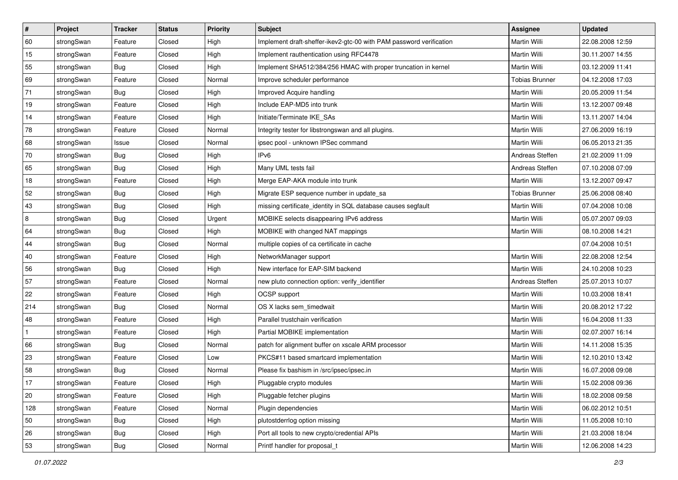| ∦            | Project    | <b>Tracker</b> | <b>Status</b> | <b>Priority</b> | <b>Subject</b>                                                      | Assignee              | <b>Updated</b>   |
|--------------|------------|----------------|---------------|-----------------|---------------------------------------------------------------------|-----------------------|------------------|
| 60           | strongSwan | Feature        | Closed        | High            | Implement draft-sheffer-ikev2-gtc-00 with PAM password verification | Martin Willi          | 22.08.2008 12:59 |
| 15           | strongSwan | Feature        | Closed        | High            | Implement rauthentication using RFC4478                             | Martin Willi          | 30.11.2007 14:55 |
| 55           | strongSwan | Bug            | Closed        | High            | Implement SHA512/384/256 HMAC with proper truncation in kernel      | Martin Willi          | 03.12.2009 11:41 |
| 69           | strongSwan | Feature        | Closed        | Normal          | Improve scheduler performance                                       | <b>Tobias Brunner</b> | 04.12.2008 17:03 |
| 71           | strongSwan | Bug            | Closed        | High            | Improved Acquire handling                                           | Martin Willi          | 20.05.2009 11:54 |
| 19           | strongSwan | Feature        | Closed        | High            | Include EAP-MD5 into trunk                                          | Martin Willi          | 13.12.2007 09:48 |
| 14           | strongSwan | Feature        | Closed        | High            | Initiate/Terminate IKE_SAs                                          | Martin Willi          | 13.11.2007 14:04 |
| 78           | strongSwan | Feature        | Closed        | Normal          | Integrity tester for libstrongswan and all plugins.                 | Martin Willi          | 27.06.2009 16:19 |
| 68           | strongSwan | Issue          | Closed        | Normal          | ipsec pool - unknown IPSec command                                  | Martin Willi          | 06.05.2013 21:35 |
| 70           | strongSwan | Bug            | Closed        | High            | IP <sub>v6</sub>                                                    | Andreas Steffen       | 21.02.2009 11:09 |
| 65           | strongSwan | Bug            | Closed        | High            | Many UML tests fail                                                 | Andreas Steffen       | 07.10.2008 07:09 |
| 18           | strongSwan | Feature        | Closed        | High            | Merge EAP-AKA module into trunk                                     | <b>Martin Willi</b>   | 13.12.2007 09:47 |
| 52           | strongSwan | Bug            | Closed        | High            | Migrate ESP sequence number in update_sa                            | <b>Tobias Brunner</b> | 25.06.2008 08:40 |
| 43           | strongSwan | Bug            | Closed        | High            | missing certificate_identity in SQL database causes segfault        | Martin Willi          | 07.04.2008 10:08 |
| 8            | strongSwan | Bug            | Closed        | Urgent          | MOBIKE selects disappearing IPv6 address                            | Martin Willi          | 05.07.2007 09:03 |
| 64           | strongSwan | <b>Bug</b>     | Closed        | High            | MOBIKE with changed NAT mappings                                    | Martin Willi          | 08.10.2008 14:21 |
| 44           | strongSwan | Bug            | Closed        | Normal          | multiple copies of ca certificate in cache                          |                       | 07.04.2008 10:51 |
| 40           | strongSwan | Feature        | Closed        | High            | NetworkManager support                                              | Martin Willi          | 22.08.2008 12:54 |
| 56           | strongSwan | <b>Bug</b>     | Closed        | High            | New interface for EAP-SIM backend                                   | Martin Willi          | 24.10.2008 10:23 |
| 57           | strongSwan | Feature        | Closed        | Normal          | new pluto connection option: verify_identifier                      | Andreas Steffen       | 25.07.2013 10:07 |
| 22           | strongSwan | Feature        | Closed        | High            | OCSP support                                                        | Martin Willi          | 10.03.2008 18:41 |
| 214          | strongSwan | Bug            | Closed        | Normal          | OS X lacks sem_timedwait                                            | Martin Willi          | 20.08.2012 17:22 |
| 48           | strongSwan | Feature        | Closed        | High            | Parallel trustchain verification                                    | <b>Martin Willi</b>   | 16.04.2008 11:33 |
| $\mathbf{1}$ | strongSwan | Feature        | Closed        | High            | Partial MOBIKE implementation                                       | Martin Willi          | 02.07.2007 16:14 |
| 66           | strongSwan | Bug            | Closed        | Normal          | patch for alignment buffer on xscale ARM processor                  | Martin Willi          | 14.11.2008 15:35 |
| 23           | strongSwan | Feature        | Closed        | Low             | PKCS#11 based smartcard implementation                              | <b>Martin Willi</b>   | 12.10.2010 13:42 |
| 58           | strongSwan | <b>Bug</b>     | Closed        | Normal          | Please fix bashism in /src/ipsec/ipsec.in                           | Martin Willi          | 16.07.2008 09:08 |
| $17$         | strongSwan | Feature        | Closed        | High            | Pluggable crypto modules                                            | Martin Willi          | 15.02.2008 09:36 |
| 20           | strongSwan | Feature        | Closed        | High            | Pluggable fetcher plugins                                           | Martin Willi          | 18.02.2008 09:58 |
| 128          | strongSwan | Feature        | Closed        | Normal          | Plugin dependencies                                                 | Martin Willi          | 06.02.2012 10:51 |
| 50           | strongSwan | Bug            | Closed        | High            | plutostderrlog option missing                                       | Martin Willi          | 11.05.2008 10:10 |
| 26           | strongSwan | Bug            | Closed        | High            | Port all tools to new crypto/credential APIs                        | Martin Willi          | 21.03.2008 18:04 |
| 53           | strongSwan | <b>Bug</b>     | Closed        | Normal          | Printf handler for proposal t                                       | Martin Willi          | 12.06.2008 14:23 |